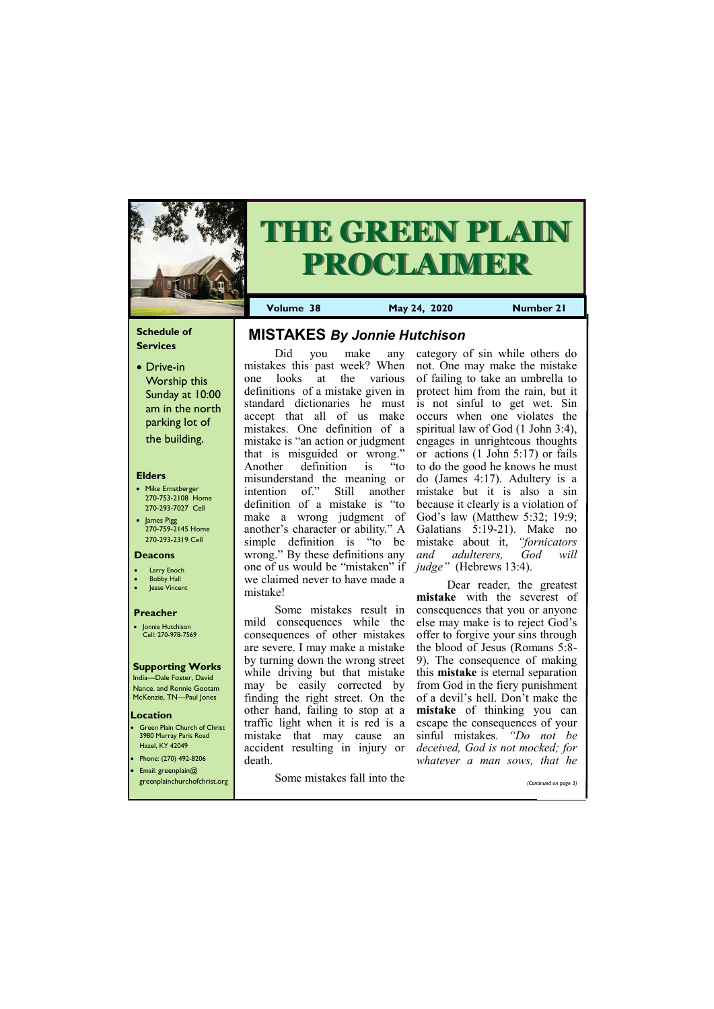### **Schedule of Services**

• Drive-in Worship this Sunday at 10:00 am in the north parking lot of the building.

### **Elders**

**Green Plain Church of Christ** 3980 Murray Paris Road Hazel, KY 42049 • Phone: (270) 492-8206

- Mike Ernstberger 270-753-2108 Home 270-293-7027 Cell
- James Pigg 270-759-2145 Home 270-293-2319 Cell

### **Location**



# **THE GREEN PLAIN PROCLAIMER**

**Volume 38 May 24, 2020 Number 21**

### **Deacons**

- **Larry Enoch**
- **Bobby Hall**
- Jesse Vincent

### **Preacher**

• Jonnie Hutchison Cell: 270-978-7569

### **Supporting Works**

India—Dale Foster, David Nance. and Ronnie Gootam McKenzie, TN—Paul Jones

Did you make any mistakes this past week? When one looks at the various definitions of a mistake given in standard dictionaries he must accept that all of us make mistakes. One definition of a mistake is "an action or judgment that is misguided or wrong." Another definition is "to misunderstand the meaning or intention of." Still another definition of a mistake is "to make a wrong judgment of another's character or ability." A simple definition is "to be wrong." By these definitions any one of us would be "mistaken" if we claimed never to have made a mistake!

Some mistakes result in mild consequences while the consequences of other mistakes are severe. I may make a mistake by turning down the wrong street while driving but that mistake may be easily corrected by finding the right street. On the other hand, failing to stop at a traffic light when it is red is a mistake that may cause an accident resulting in injury or death.

| $\bullet$ Email: greenplain@<br>greenplainchurchofchrist.org | uvanı.<br>Some mistakes fall into the |  | <i>WHATCH</i> a man sows, man he<br>(Continued on page 3) |
|--------------------------------------------------------------|---------------------------------------|--|-----------------------------------------------------------|
|                                                              |                                       |  |                                                           |

category of sin while others do not. One may make the mistake of failing to take an umbrella to protect him from the rain, but it is not sinful to get wet. Sin occurs when one violates the spiritual law of God (1 John 3:4), engages in unrighteous thoughts or actions (1 John 5:17) or fails to do the good he knows he must do (James 4:17). Adultery is a mistake but it is also a sin because it clearly is a violation of God's law (Matthew 5:32; 19:9; Galatians 5:19-21). Make no mistake about it, *"fornicators and adulterers, God will judge"* (Hebrews 13:4).

Dear reader, the greatest **mistake** with the severest of consequences that you or anyone else may make is to reject God's offer to forgive your sins through the blood of Jesus (Romans 5:8- 9). The consequence of making this **mistake** is eternal separation from God in the fiery punishment of a devil's hell. Don't make the **mistake** of thinking you can escape the consequences of your sinful mistakes. *"Do not be deceived, God is not mocked; for whatever a man sows, that he* 

# **MISTAKES** *By Jonnie Hutchison*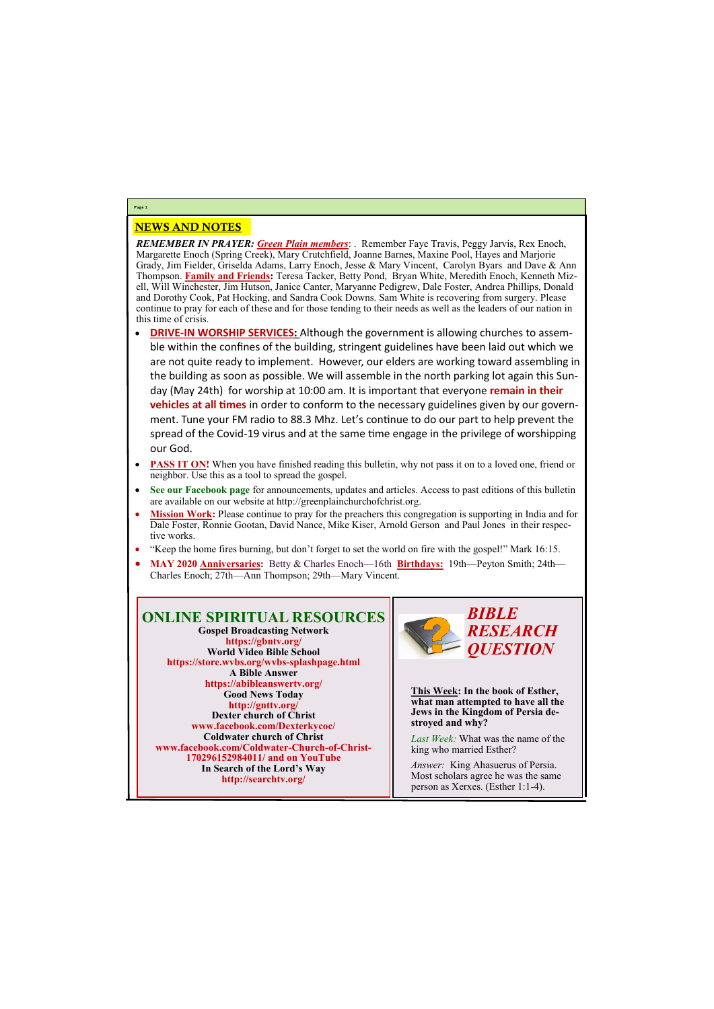### NEWS AND NOTES

*REMEMBER IN PRAYER: Green Plain members*: . Remember Faye Travis, Peggy Jarvis, Rex Enoch, Margarette Enoch (Spring Creek), Mary Crutchfield, Joanne Barnes, Maxine Pool, Hayes and Marjorie Grady, Jim Fielder, Griselda Adams, Larry Enoch, Jesse & Mary Vincent, Carolyn Byars and Dave & Ann Thompson. **Family and Friends:** Teresa Tacker, Betty Pond, Bryan White, Meredith Enoch, Kenneth Mizell, Will Winchester, Jim Hutson, Janice Canter, Maryanne Pedigrew, Dale Foster, Andrea Phillips, Donald and Dorothy Cook, Pat Hocking, and Sandra Cook Downs. Sam White is recovering from surgery. Please continue to pray for each of these and for those tending to their needs as well as the leaders of our nation in this time of crisis.

- **DRIVE-IN WORSHIP SERVICES:** Although the government is allowing churches to assemble within the confines of the building, stringent guidelines have been laid out which we are not quite ready to implement. However, our elders are working toward assembling in the building as soon as possible. We will assemble in the north parking lot again this Sunday (May 24th) for worship at 10:00 am. It is important that everyone **remain in their vehicles at all times** in order to conform to the necessary guidelines given by our government. Tune your FM radio to 88.3 Mhz. Let's continue to do our part to help prevent the spread of the Covid-19 virus and at the same time engage in the privilege of worshipping our God.
- **PASS IT ON!** When you have finished reading this bulletin, why not pass it on to a loved one, friend or neighbor. Use this as a tool to spread the gospel.
- See our Facebook page for announcements, updates and articles. Access to past editions of this bulletin are available on our website at http://greenplainchurchofchrist.org.
- **Mission Work:** Please continue to pray for the preachers this congregation is supporting in India and for Dale Foster, Ronnie Gootan, David Nance, Mike Kiser, Arnold Gerson and Paul Jones in their respective works.
- "Keep the home fires burning, but don't forget to set the world on fire with the gospel!" Mark 16:15.
- **MAY 2020 Anniversaries:** Betty & Charles Enoch—16th **Birthdays:** 19th—Peyton Smith; 24th— Charles Enoch; 27th—Ann Thompson; 29th—Mary Vincent.

### **Page 2**

### **ONLINE SPIRITUAL RESOURCES Gospel Broadcasting Network https://gbntv.org/ World Video Bible School https://store.wvbs.org/wvbs-splashpage.html A Bible Answer https://abibleanswertv.org/ Good News Today http://gnttv.org/ Dexter church of Christ www.facebook.com/Dexterkycoc/ Coldwater church of Christ www.facebook.com/Coldwater-Church-of-Christ-170296152984011/ and on YouTube**

**In Search of the Lord's Way http://searchtv.org/**



**This Week: In the book of Esther, what man attempted to have all the Jews in the Kingdom of Persia destroyed and why?**

*Last Week:* What was the name of the king who married Esther?

*Answer:* King Ahasuerus of Persia. Most scholars agree he was the same person as Xerxes. (Esther 1:1-4).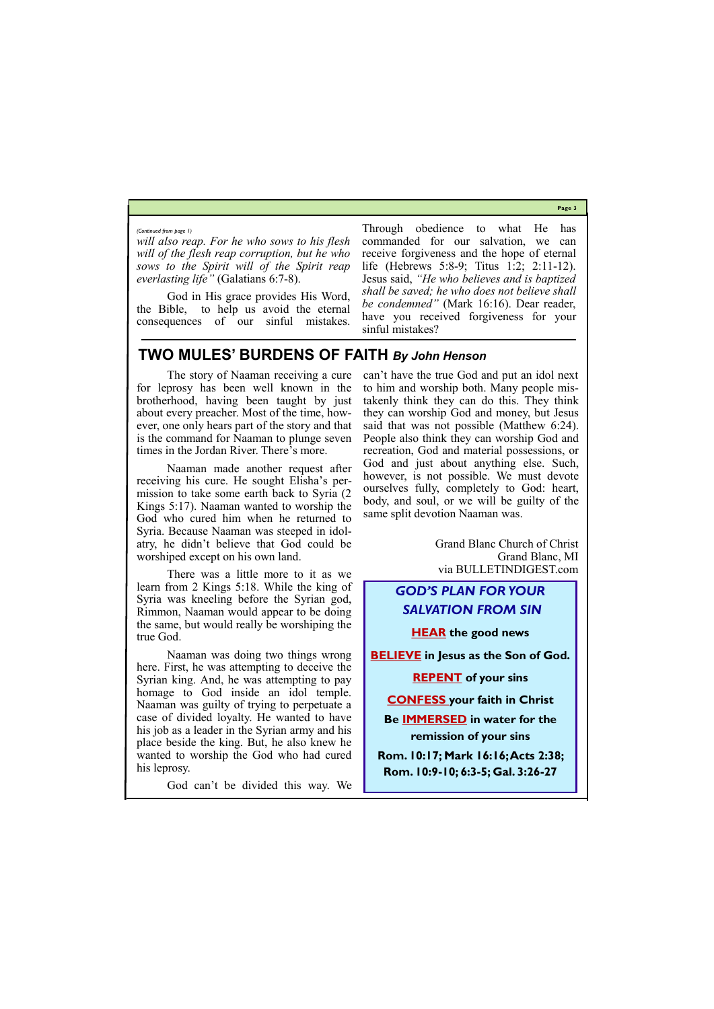**Page 3**

*will also reap. For he who sows to his flesh will of the flesh reap corruption, but he who sows to the Spirit will of the Spirit reap everlasting life"* (Galatians 6:7-8).

God in His grace provides His Word, the Bible, to help us avoid the eternal consequences of our sinful mistakes.

Through obedience to what He has commanded for our salvation, we can receive forgiveness and the hope of eternal life (Hebrews 5:8-9; Titus 1:2; 2:11-12). Jesus said, *"He who believes and is baptized shall be saved; he who does not believe shall be condemned"* (Mark 16:16). Dear reader, have you received forgiveness for your sinful mistakes?

#### *(Continued from page 1)*

### **TWO MULES' BURDENS OF FAITH** *By John Henson*

The story of Naaman receiving a cure for leprosy has been well known in the brotherhood, having been taught by just about every preacher. Most of the time, however, one only hears part of the story and that is the command for Naaman to plunge seven times in the Jordan River. There's more.

Naaman made another request after receiving his cure. He sought Elisha's permission to take some earth back to Syria (2 Kings 5:17). Naaman wanted to worship the God who cured him when he returned to Syria. Because Naaman was steeped in idolatry, he didn't believe that God could be worshiped except on his own land.

There was a little more to it as we learn from 2 Kings 5:18. While the king of Syria was kneeling before the Syrian god, Rimmon, Naaman would appear to be doing the same, but would really be worshiping the true God.

Naaman was doing two things wrong here. First, he was attempting to deceive the Syrian king. And, he was attempting to pay homage to God inside an idol temple. Naaman was guilty of trying to perpetuate a case of divided loyalty. He wanted to have his job as a leader in the Syrian army and his place beside the king. But, he also knew he wanted to worship the God who had cured

his leprosy.

God can't be divided this way. We

can't have the true God and put an idol next to him and worship both. Many people mistakenly think they can do this. They think they can worship God and money, but Jesus said that was not possible (Matthew 6:24). People also think they can worship God and recreation, God and material possessions, or God and just about anything else. Such, however, is not possible. We must devote ourselves fully, completely to God: heart, body, and soul, or we will be guilty of the same split devotion Naaman was.

> Grand Blanc Church of Christ Grand Blanc, MI via BULLETINDIGEST.com

## *GOD'S PLAN FOR YOUR SALVATION FROM SIN*

**HEAR the good news** 

**BELIEVE in Jesus as the Son of God.**

**REPENT of your sins**

**CONFESS your faith in Christ**

**Be IMMERSED in water for the remission of your sins**

**Rom. 10:17; Mark 16:16; Acts 2:38;** 

**Rom. 10:9-10; 6:3-5; Gal. 3:26-27**